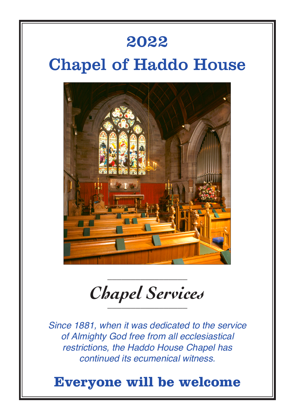### 2022

# Chapel of Haddo House



*Chapel Services* \_\_\_\_\_\_\_\_\_\_\_\_\_\_\_\_\_

\_\_\_\_\_\_\_\_\_\_\_\_\_\_\_\_\_

*Since 1881, when it was dedicated to the service of Almighty God free from all ecclesiastical restrictions, the Haddo House Chapel has continued its ecumenical witness.*

### **Everyone will be welcome**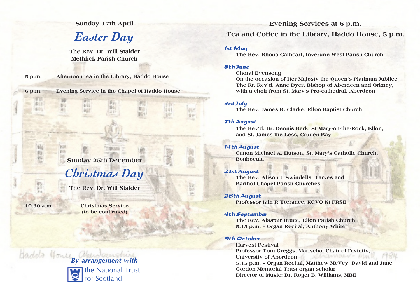**Sunday 17th April**

*Easter Day*

**The Rev. Dr. Will Stalder Methlick Parish Church**

**5 p.m. Afternoon tea in the Library, Haddo House**

**6 p.m. Evening Service in the Chapel of Haddo House**

**Sunday 25th December**

# *Christmas Day*

**The Rev. Dr. Will Stalder**

**10.30 a.m.**

**Christmas Service (to be confirmed)**

*By arrangement with* the National Trust



**Evening Services at 6 p.m. Tea and Coffee in the Library, Haddo House, 5 p.m.**

**The Rev. Rhona Cathcart, Inverurie West Parish Church** 

### 5th June **Choral Evensong**

**On the occasion of Her Majesty the Queen's Platinum Jubilee The Rt. Rev'd. Anne Dyer, Bishop of Aberdeen and Orkney, with a choir from St. Mary's Pro-cathedral, Aberdeen**

### 3rd July

**The Rev. James R. Clarke, Ellon Baptist Church**

7th August **The Rev'd. Dr. Dennis Berk, St Mary-on-the-Rock, Ellon, and St. James-the-Less, Cruden Bay**

**Canon Michael A. Hutson, St. Mary's Catholic Church, Benbecula** 

**The Rev. Alison I. Swindells, Tarves and Barthol Chapel Parish Churches**

28th August **Professor Iain R Torrance, KCVO Kt FRSE**

4th September **The Rev. Alastair Bruce, Ellon Parish Church 5.15 p.m. – Organ Recital, Anthony White**

9th October **Harvest Festival Professor Tom Greggs, Marischal Chair of Divinity,** University of Aberdeen **All Activities MAN 5.15 p.m. – Organ Recital, Matthew McVey, David and June Gordon Memorial Trust organ scholar Director of Music: Dr. Roger B. Williams, MBE**